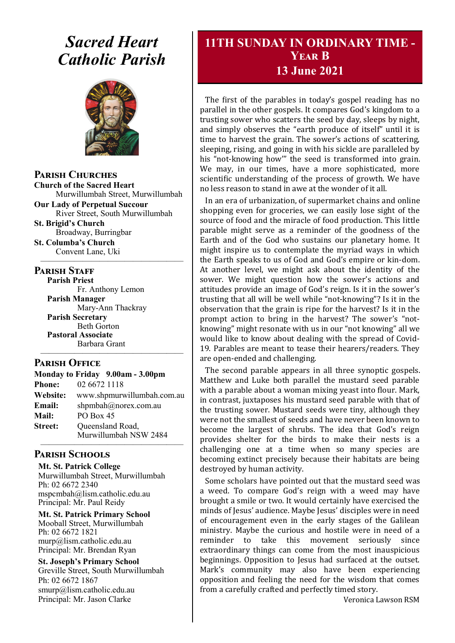# *Sacred Heart Catholic Parish*



**Parish Churches**

**Church of the Sacred Heart** Murwillumbah Street, Murwillumbah

**Our Lady of Perpetual Succour** River Street, South Murwillumbah

**St. Brigid's Church** Broadway, Burringbar

**St. Columba's Church** Convent Lane, Uki —————————————————

#### **PARISH STAFF**

**Parish Priest** Fr. Anthony Lemon **Parish Manager** Mary-Ann Thackray **Parish Secretary** Beth Gorton **Pastoral Associate** Barbara Grant

#### **Parish Office**

| Monday to Friday 9.00am - 3.00pm |                                           |
|----------------------------------|-------------------------------------------|
| <b>Phone:</b>                    | 02 6672 1118                              |
| Website:                         | www.shpmurwillumbah.com.au                |
| Email:                           | shpmbah@norex.com.au                      |
| <b>Mail:</b>                     | <b>PO Box 45</b>                          |
| <b>Street:</b>                   | Queensland Road,<br>Murwillumbah NSW 2484 |
|                                  |                                           |

—————————————————

### **Parish Schools**

**Mt. St. Patrick College** Murwillumbah Street, Murwillumbah Ph: 02 6672 2340 mspcmbah@lism.catholic.edu.au Principal: Mr. Paul Reidy

**Mt. St. Patrick Primary School** Mooball Street, Murwillumbah Ph: 02 6672 1821 murp@lism.catholic.edu.au Principal: Mr. Brendan Ryan

**St. Joseph's Primary School** Greville Street, South Murwillumbah Ph: 02 6672 1867 smurp@lism.catholic.edu.au Principal: Mr. Jason Clarke

# **11TH SUNDAY IN ORDINARY TIME - Year B 13 June 2021**

The first of the parables in today's gospel reading has no parallel in the other gospels. It compares God's kingdom to a trusting sower who scatters the seed by day, sleeps by night, and simply observes the "earth produce of itself" until it is time to harvest the grain. The sower's actions of scattering, sleeping, rising, and going in with his sickle are paralleled by his "not-knowing how'" the seed is transformed into grain. We may, in our times, have a more sophisticated, more scientific understanding of the process of growth. We have no less reason to stand in awe at the wonder of it all.

In an era of urbanization, of supermarket chains and online shopping even for groceries, we can easily lose sight of the source of food and the miracle of food production. This little parable might serve as a reminder of the goodness of the Earth and of the God who sustains our planetary home. It might inspire us to contemplate the myriad ways in which the Earth speaks to us of God and God's empire or kin-dom. At another level, we might ask about the identity of the sower. We might question how the sower's actions and attitudes provide an image of God's reign. Is it in the sower's trusting that all will be well while "not-knowing"? Is it in the observation that the grain is ripe for the harvest? Is it in the prompt action to bring in the harvest? The sower's "notknowing" might resonate with us in our "not knowing" all we would like to know about dealing with the spread of Covid-19. Parables are meant to tease their hearers/readers. They are open-ended and challenging.

The second parable appears in all three synoptic gospels. Matthew and Luke both parallel the mustard seed parable with a parable about a woman mixing yeast into flour. Mark, in contrast, juxtaposes his mustard seed parable with that of the trusting sower. Mustard seeds were tiny, although they were not the smallest of seeds and have never been known to become the largest of shrubs. The idea that God's reign provides shelter for the birds to make their nests is a challenging one at a time when so many species are becoming extinct precisely because their habitats are being destroyed by human activity.

Some scholars have pointed out that the mustard seed was a weed. To compare God's reign with a weed may have brought a smile or two. It would certainly have exercised the minds of Jesus' audience. Maybe Jesus' disciples were in need of encouragement even in the early stages of the Galilean ministry. Maybe the curious and hostile were in need of a reminder to take this movement seriously since extraordinary things can come from the most inauspicious beginnings. Opposition to Jesus had surfaced at the outset. Mark's community may also have been experiencing opposition and feeling the need for the wisdom that comes from a carefully crafted and perfectly timed story.

Veronica Lawson RSM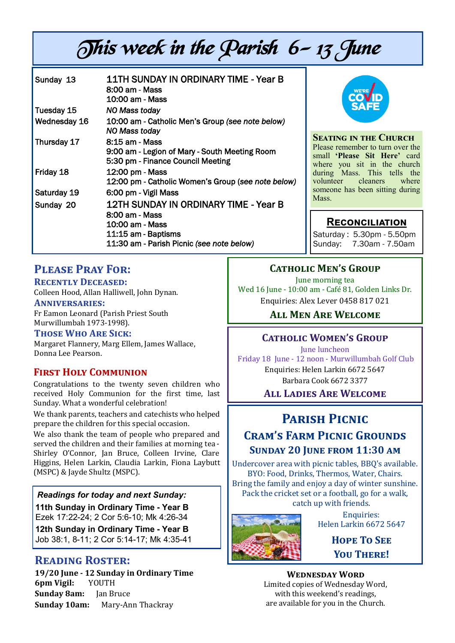# This week in the Parish 6-13 June

| Sunday 13    | <b>11TH SUNDAY IN ORDINARY TIME - Year B</b><br>8:00 am - Mass<br>10:00 am - Mass                                                                     |
|--------------|-------------------------------------------------------------------------------------------------------------------------------------------------------|
| Tuesday 15   | NO Mass today                                                                                                                                         |
| Wednesday 16 | 10:00 am - Catholic Men's Group (see note below)<br>NO Mass today                                                                                     |
| Thursday 17  | 8:15 am - Mass<br>9:00 am - Legion of Mary - South Meeting Room<br>5:30 pm - Finance Council Meeting                                                  |
| Friday 18    | 12:00 pm - Mass<br>12:00 pm - Catholic Women's Group (see note below)                                                                                 |
| Saturday 19  | 6:00 pm - Vigil Mass                                                                                                                                  |
| Sunday 20    | <b>12TH SUNDAY IN ORDINARY TIME - Year B</b><br>8:00 am - Mass<br>10:00 am - Mass<br>11:15 am - Baptisms<br>11:30 am - Parish Picnic (see note below) |



**Seating in the Church** Please remember to turn over the small **'Please Sit Here'** card where you sit in the church during Mass. This tells the<br>volunteer cleaners where cleaners someone has been sitting during Mass.

# **Reconciliation**

Saturday : 5.30pm - 5.50pm Sunday: 7.30am - 7.50am

# **Please Pray For:**

**Recently Deceased:** Colleen Hood, Allan Halliwell, John Dynan.

**Anniversaries:**

Fr Eamon Leonard (Parish Priest South Murwillumbah 1973-1998).

#### **Those Who Are Sick:**

Margaret Flannery, Marg Ellem, James Wallace, Donna Lee Pearson.

### **First Holy Communion**

Congratulations to the twenty seven children who received Holy Communion for the first time, last Sunday. What a wonderful celebration!

We thank parents, teachers and catechists who helped prepare the children for this special occasion.

We also thank the team of people who prepared and served the children and their families at morning tea - Shirley O'Connor, Jan Bruce, Colleen Irvine, Clare Higgins, Helen Larkin, Claudia Larkin, Fiona Laybutt (MSPC) & Jayde Shultz (MSPC).

*Readings for today and next Sunday:*  **11th Sunday in Ordinary Time - Year B**  Ezek 17:22-24; 2 Cor 5:6-10; Mk 4:26-34

**12th Sunday in Ordinary Time - Year B**  Job 38:1, 8-11; 2 Cor 5:14-17; Mk 4:35-41

# **Reading Roster:**

**19/20 June - 12 Sunday in Ordinary Time 6pm Vigil:** YOUTH **Sunday 8am:** Jan Bruce **Sunday 10am:** Mary-Ann Thackray

# **Catholic Men's Group**

June morning tea Wed 16 June - 10:00 am - Café 81, Golden Links Dr. Enquiries: Alex Lever 0458 817 021

**All Men Are Welcome**

# **Catholic Women's Group**

June luncheon

Friday 18 June - 12 noon - Murwillumbah Golf Club Enquiries: Helen Larkin 6672 5647 Barbara Cook 6672 3377

# **All Ladies Are Welcome**

# **Parish Picnic**

# **Cram's Farm Picnic Grounds Sunday 20 June from 11:30 am**

Undercover area with picnic tables, BBQ's available. BYO: Food, Drinks, Thermos, Water, Chairs. Bring the family and enjoy a day of winter sunshine. Pack the cricket set or a football, go for a walk, catch up with friends.



Enquiries: Helen Larkin 6672 5647

> **Hope To See You There!**

### **Wednesday Word**

Limited copies of Wednesday Word, with this weekend's readings, are available for you in the Church.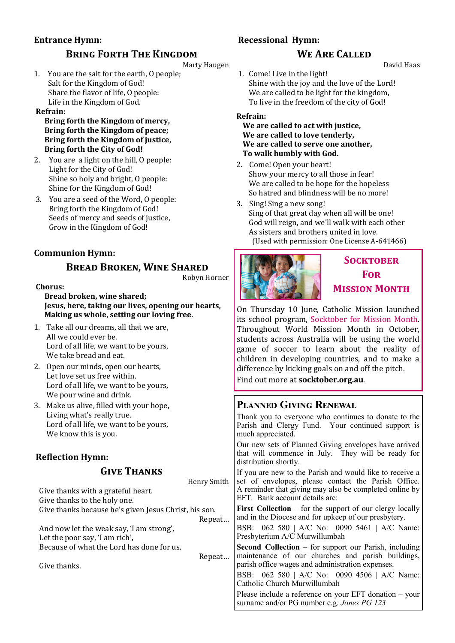# **Entrance Hymn:**

#### **Recessional Hymn:**

# **We Are Called**

David Haas

Marty Haugen 1. You are the salt for the earth, O people; Salt for the Kingdom of God! Share the flavor of life, O people: Life in the Kingdom of God.

**BRING FORTH THE KINGDOM** 

#### **Refrain:**

**Bring forth the Kingdom of mercy, Bring forth the Kingdom of peace; Bring forth the Kingdom of justice, Bring forth the City of God!**

- 2. You are a light on the hill, O people: Light for the City of God! Shine so holy and bright, O people: Shine for the Kingdom of God!
- 3. You are a seed of the Word, O people: Bring forth the Kingdom of God! Seeds of mercy and seeds of justice, Grow in the Kingdom of God!

# **Communion Hymn:**

# **Bread Broken, Wine Shared**

Robyn Horner

#### **Chorus:**

**Bread broken, wine shared; Jesus, here, taking our lives, opening our hearts, Making us whole, setting our loving free.** 

- 1. Take all our dreams, all that we are, All we could ever be. Lord of all life, we want to be yours, We take bread and eat.
- 2. Open our minds, open our hearts, Let love set us free within. Lord of all life, we want to be yours, We pour wine and drink.
- 3. Make us alive, filled with your hope, Living what's really true. Lord of all life, we want to be yours, We know this is you.

# **Reflection Hymn:**

### **Give Thanks**

Henry Smith Give thanks with a grateful heart. Give thanks to the holy one. Give thanks because he's given Jesus Christ, his son. Repeat… And now let the weak say, 'I am strong', Let the poor say, 'I am rich', Because of what the Lord has done for us. Repeat… Give thanks.

1. Come! Live in the light! Shine with the joy and the love of the Lord! We are called to be light for the kingdom, To live in the freedom of the city of God!

#### **Refrain:**

#### **We are called to act with justice, We are called to love tenderly, We are called to serve one another, To walk humbly with God.**

- 2. Come! Open your heart! Show your mercy to all those in fear! We are called to be hope for the hopeless So hatred and blindness will be no more!
- 3. Sing! Sing a new song! Sing of that great day when all will be one! God will reign, and we'll walk with each other As sisters and brothers united in love. (Used with permission: One License A-641466)



# **Socktober For Mission Month**

On Thursday 10 June, Catholic Mission launched its school program, Socktober for Mission Month. Throughout World Mission Month in October, students across Australia will be using the world game of soccer to learn about the reality of children in developing countries, and to make a difference by kicking goals on and off the pitch.

Find out more at **socktober.org.au**.

# **Planned Giving Renewal**

Thank you to everyone who continues to donate to the Parish and Clergy Fund. Your continued support is much appreciated.

Our new sets of Planned Giving envelopes have arrived that will commence in July. They will be ready for distribution shortly.

If you are new to the Parish and would like to receive a set of envelopes, please contact the Parish Office. A reminder that giving may also be completed online by EFT. Bank account details are:

**First Collection** – for the support of our clergy locally and in the Diocese and for upkeep of our presbytery.

BSB: 062 580 | A/C No: 0090 5461 | A/C Name: Presbyterium A/C Murwillumbah

**Second Collection** – for support our Parish, including maintenance of our churches and parish buildings, parish office wages and administration expenses.

BSB: 062 580 | A/C No: 0090 4506 | A/C Name: Catholic Church Murwillumbah

Please include a reference on your EFT donation – your surname and/or PG number e.g. *Jones PG 123*